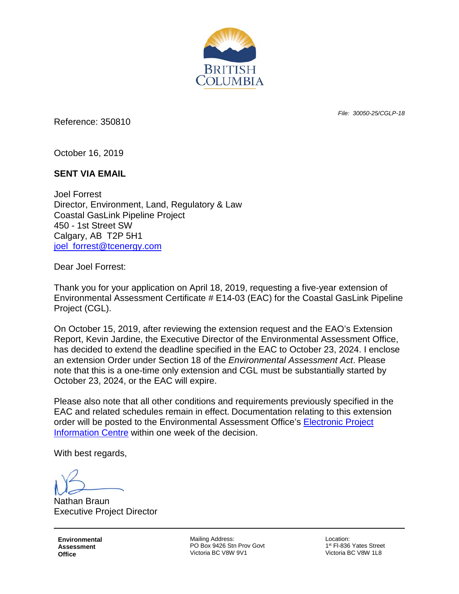

*File: 30050-25/CGLP-18*

Reference: 350810

October 16, 2019

## **SENT VIA EMAIL**

Joel Forrest Director, Environment, Land, Regulatory & Law Coastal GasLink Pipeline Project 450 - 1st Street SW Calgary, AB T2P 5H1 [joel\\_forrest@tcenergy.com](mailto:joel_forrest@tcenergy.com)

Dear Joel Forrest:

Thank you for your application on April 18, 2019, requesting a five-year extension of Environmental Assessment Certificate # E14-03 (EAC) for the Coastal GasLink Pipeline Project (CGL).

On October 15, 2019, after reviewing the extension request and the EAO's Extension Report, Kevin Jardine, the Executive Director of the Environmental Assessment Office, has decided to extend the deadline specified in the EAC to October 23, 2024. I enclose an extension Order under Section 18 of the *Environmental Assessment Act*. Please note that this is a one-time only extension and CGL must be substantially started by October 23, 2024, or the EAC will expire.

Please also note that all other conditions and requirements previously specified in the EAC and related schedules remain in effect. Documentation relating to this extension order will be posted to the Environmental Assessment Office's [Electronic Project](https://projects.eao.gov.bc.ca/p/588511c4aaecd9001b825604/project-details)  [Information Centre](https://projects.eao.gov.bc.ca/p/588511c4aaecd9001b825604/project-details) within one week of the decision.

With best regards,

Nathan Braun Executive Project Director

**Environmental Assessment Office**

Mailing Address: PO Box 9426 Stn Prov Govt Victoria BC V8W 9V1

Location: 1st Fl-836 Yates Street Victoria BC V8W 1L8